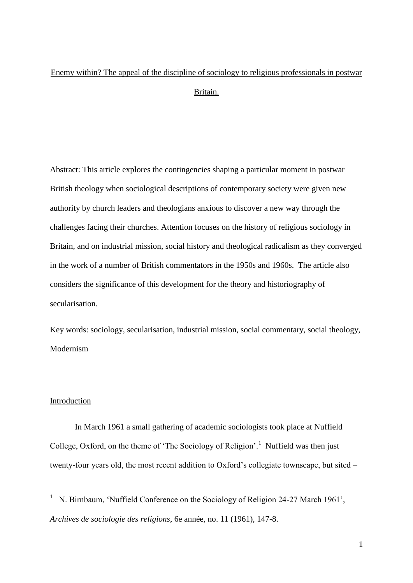# Enemy within? The appeal of the discipline of sociology to religious professionals in postwar Britain.

Abstract: This article explores the contingencies shaping a particular moment in postwar British theology when sociological descriptions of contemporary society were given new authority by church leaders and theologians anxious to discover a new way through the challenges facing their churches. Attention focuses on the history of religious sociology in Britain, and on industrial mission, social history and theological radicalism as they converged in the work of a number of British commentators in the 1950s and 1960s. The article also considers the significance of this development for the theory and historiography of secularisation.

Key words: sociology, secularisation, industrial mission, social commentary, social theology, Modernism

## Introduction

In March 1961 a small gathering of academic sociologists took place at Nuffield College, Oxford, on the theme of 'The Sociology of Religion'.<sup>1</sup> Nuffield was then just twenty-four years old, the most recent addition to Oxford's collegiate townscape, but sited –

<sup>&</sup>lt;sup>1</sup> N. Birnbaum, 'Nuffield Conference on the Sociology of Religion 24-27 March 1961', *Archives de sociologie des religions*, 6e année, no. 11 (1961), 147-8.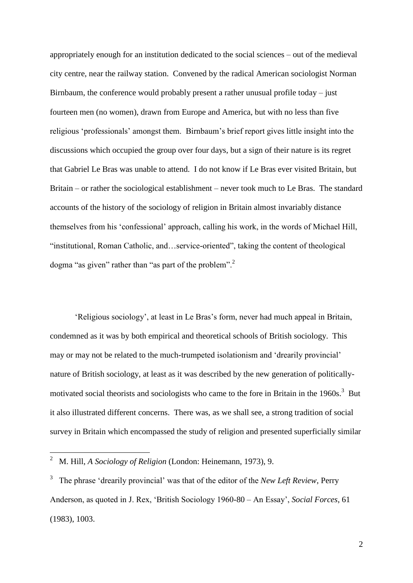appropriately enough for an institution dedicated to the social sciences – out of the medieval city centre, near the railway station. Convened by the radical American sociologist Norman Birnbaum, the conference would probably present a rather unusual profile today – just fourteen men (no women), drawn from Europe and America, but with no less than five religious 'professionals' amongst them. Birnbaum's brief report gives little insight into the discussions which occupied the group over four days, but a sign of their nature is its regret that Gabriel Le Bras was unable to attend. I do not know if Le Bras ever visited Britain, but Britain – or rather the sociological establishment – never took much to Le Bras. The standard accounts of the history of the sociology of religion in Britain almost invariably distance themselves from his 'confessional' approach, calling his work, in the words of Michael Hill, "institutional, Roman Catholic, and…service-oriented", taking the content of theological dogma "as given" rather than "as part of the problem".<sup>2</sup>

'Religious sociology', at least in Le Bras's form, never had much appeal in Britain, condemned as it was by both empirical and theoretical schools of British sociology. This may or may not be related to the much-trumpeted isolationism and 'drearily provincial' nature of British sociology, at least as it was described by the new generation of politicallymotivated social theorists and sociologists who came to the fore in Britain in the  $1960s$ .<sup>3</sup> But it also illustrated different concerns. There was, as we shall see, a strong tradition of social survey in Britain which encompassed the study of religion and presented superficially similar

<sup>2</sup> M. Hill, *A Sociology of Religion* (London: Heinemann, 1973), 9.

<sup>3</sup> The phrase 'drearily provincial' was that of the editor of the *New Left Review*, Perry Anderson, as quoted in J. Rex, 'British Sociology 1960-80 – An Essay', *Social Forces*, 61 (1983), 1003.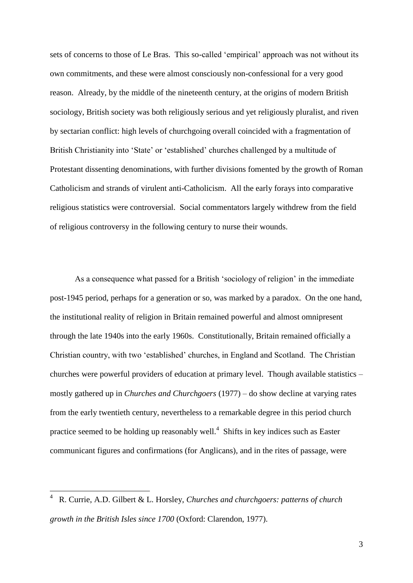sets of concerns to those of Le Bras. This so-called 'empirical' approach was not without its own commitments, and these were almost consciously non-confessional for a very good reason. Already, by the middle of the nineteenth century, at the origins of modern British sociology, British society was both religiously serious and yet religiously pluralist, and riven by sectarian conflict: high levels of churchgoing overall coincided with a fragmentation of British Christianity into 'State' or 'established' churches challenged by a multitude of Protestant dissenting denominations, with further divisions fomented by the growth of Roman Catholicism and strands of virulent anti-Catholicism. All the early forays into comparative religious statistics were controversial. Social commentators largely withdrew from the field of religious controversy in the following century to nurse their wounds.

As a consequence what passed for a British 'sociology of religion' in the immediate post-1945 period, perhaps for a generation or so, was marked by a paradox. On the one hand, the institutional reality of religion in Britain remained powerful and almost omnipresent through the late 1940s into the early 1960s. Constitutionally, Britain remained officially a Christian country, with two 'established' churches, in England and Scotland. The Christian churches were powerful providers of education at primary level. Though available statistics – mostly gathered up in *Churches and Churchgoers* (1977) – do show decline at varying rates from the early twentieth century, nevertheless to a remarkable degree in this period church practice seemed to be holding up reasonably well. $4$  Shifts in key indices such as Easter communicant figures and confirmations (for Anglicans), and in the rites of passage, were

<u>.</u>

<sup>4</sup> R. Currie, A.D. Gilbert & L. Horsley, *Churches and churchgoers: patterns of church growth in the British Isles since 1700* (Oxford: Clarendon, 1977).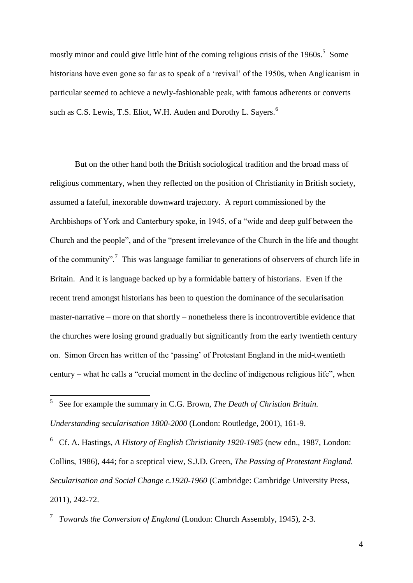mostly minor and could give little hint of the coming religious crisis of the  $1960s$ <sup>5</sup>. Some historians have even gone so far as to speak of a 'revival' of the 1950s, when Anglicanism in particular seemed to achieve a newly-fashionable peak, with famous adherents or converts such as C.S. Lewis, T.S. Eliot, W.H. Auden and Dorothy L. Sayers.<sup>6</sup>

But on the other hand both the British sociological tradition and the broad mass of religious commentary, when they reflected on the position of Christianity in British society, assumed a fateful, inexorable downward trajectory. A report commissioned by the Archbishops of York and Canterbury spoke, in 1945, of a "wide and deep gulf between the Church and the people", and of the "present irrelevance of the Church in the life and thought of the community".<sup>7</sup> This was language familiar to generations of observers of church life in Britain. And it is language backed up by a formidable battery of historians. Even if the recent trend amongst historians has been to question the dominance of the secularisation master-narrative – more on that shortly – nonetheless there is incontrovertible evidence that the churches were losing ground gradually but significantly from the early twentieth century on. Simon Green has written of the 'passing' of Protestant England in the mid-twentieth century – what he calls a "crucial moment in the decline of indigenous religious life", when

<u>.</u>

6 Cf. A. Hastings*, A History of English Christianity 1920-1985* (new edn., 1987, London: Collins, 1986), 444; for a sceptical view, S.J.D. Green, *The Passing of Protestant England. Secularisation and Social Change c.1920-1960* (Cambridge: Cambridge University Press, 2011), 242-72.

7 *Towards the Conversion of England* (London: Church Assembly, 1945), 2-3.

<sup>5</sup> See for example the summary in C.G. Brown, *The Death of Christian Britain. Understanding secularisation 1800-2000* (London: Routledge, 2001), 161-9.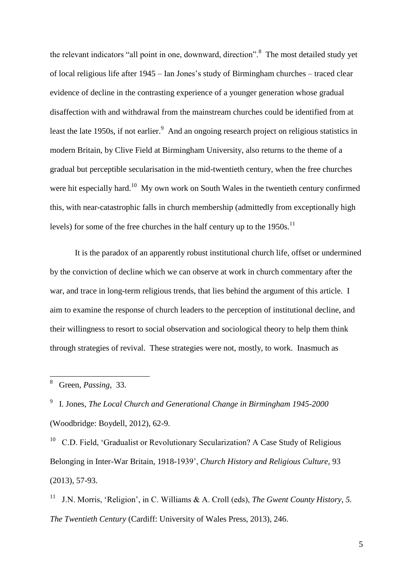the relevant indicators "all point in one, downward, direction".<sup>8</sup> The most detailed study yet of local religious life after 1945 – Ian Jones's study of Birmingham churches – traced clear evidence of decline in the contrasting experience of a younger generation whose gradual disaffection with and withdrawal from the mainstream churches could be identified from at least the late 1950s, if not earlier.<sup>9</sup> And an ongoing research project on religious statistics in modern Britain, by Clive Field at Birmingham University, also returns to the theme of a gradual but perceptible secularisation in the mid-twentieth century, when the free churches were hit especially hard.<sup>10</sup> My own work on South Wales in the twentieth century confirmed this, with near-catastrophic falls in church membership (admittedly from exceptionally high levels) for some of the free churches in the half century up to the  $1950s$ <sup>11</sup>

It is the paradox of an apparently robust institutional church life, offset or undermined by the conviction of decline which we can observe at work in church commentary after the war, and trace in long-term religious trends, that lies behind the argument of this article. I aim to examine the response of church leaders to the perception of institutional decline, and their willingness to resort to social observation and sociological theory to help them think through strategies of revival. These strategies were not, mostly, to work. Inasmuch as

9 I. Jones, *The Local Church and Generational Change in Birmingham 1945-2000* (Woodbridge: Boydell, 2012), 62-9.

<sup>10</sup> C.D. Field, 'Gradualist or Revolutionary Secularization? A Case Study of Religious Belonging in Inter-War Britain, 1918-1939', *Church History and Religious Culture*, 93 (2013), 57-93.

11 J.N. Morris, 'Religion', in C. Williams & A. Croll (eds), *The Gwent County History, 5. The Twentieth Century* (Cardiff: University of Wales Press, 2013), 246.

 8 Green, *Passing*, 33.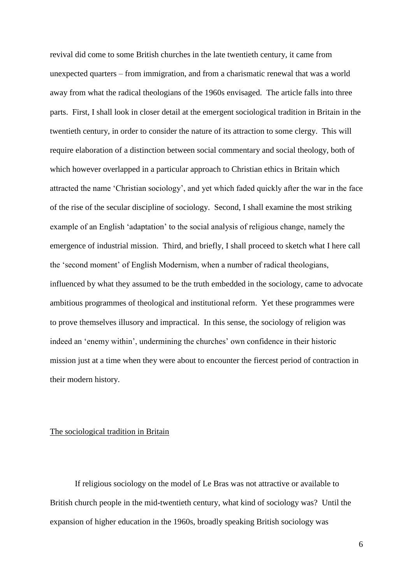revival did come to some British churches in the late twentieth century, it came from unexpected quarters – from immigration, and from a charismatic renewal that was a world away from what the radical theologians of the 1960s envisaged. The article falls into three parts. First, I shall look in closer detail at the emergent sociological tradition in Britain in the twentieth century, in order to consider the nature of its attraction to some clergy. This will require elaboration of a distinction between social commentary and social theology, both of which however overlapped in a particular approach to Christian ethics in Britain which attracted the name 'Christian sociology', and yet which faded quickly after the war in the face of the rise of the secular discipline of sociology. Second, I shall examine the most striking example of an English 'adaptation' to the social analysis of religious change, namely the emergence of industrial mission. Third, and briefly, I shall proceed to sketch what I here call the 'second moment' of English Modernism, when a number of radical theologians, influenced by what they assumed to be the truth embedded in the sociology, came to advocate ambitious programmes of theological and institutional reform. Yet these programmes were to prove themselves illusory and impractical. In this sense, the sociology of religion was indeed an 'enemy within', undermining the churches' own confidence in their historic mission just at a time when they were about to encounter the fiercest period of contraction in their modern history.

#### The sociological tradition in Britain

If religious sociology on the model of Le Bras was not attractive or available to British church people in the mid-twentieth century, what kind of sociology was? Until the expansion of higher education in the 1960s, broadly speaking British sociology was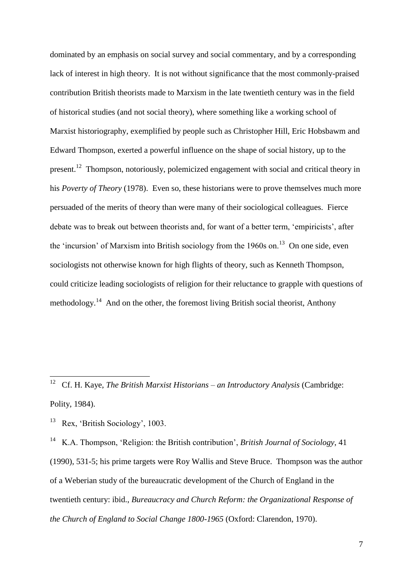dominated by an emphasis on social survey and social commentary, and by a corresponding lack of interest in high theory. It is not without significance that the most commonly-praised contribution British theorists made to Marxism in the late twentieth century was in the field of historical studies (and not social theory), where something like a working school of Marxist historiography, exemplified by people such as Christopher Hill, Eric Hobsbawm and Edward Thompson, exerted a powerful influence on the shape of social history, up to the present.<sup>12</sup> Thompson, notoriously, polemicized engagement with social and critical theory in his *Poverty of Theory* (1978). Even so, these historians were to prove themselves much more persuaded of the merits of theory than were many of their sociological colleagues. Fierce debate was to break out between theorists and, for want of a better term, 'empiricists', after the 'incursion' of Marxism into British sociology from the 1960s on.<sup>13</sup> On one side, even sociologists not otherwise known for high flights of theory, such as Kenneth Thompson, could criticize leading sociologists of religion for their reluctance to grapple with questions of methodology.<sup>14</sup> And on the other, the foremost living British social theorist, Anthony

13 Rex, 'British Sociology', 1003.

14 K.A. Thompson, 'Religion: the British contribution', *British Journal of Sociology*, 41 (1990), 531-5; his prime targets were Roy Wallis and Steve Bruce. Thompson was the author of a Weberian study of the bureaucratic development of the Church of England in the twentieth century: ibid., *Bureaucracy and Church Reform: the Organizational Response of the Church of England to Social Change 1800-1965* (Oxford: Clarendon, 1970).

 12 Cf. H. Kaye, *The British Marxist Historians – an Introductory Analysis* (Cambridge: Polity, 1984).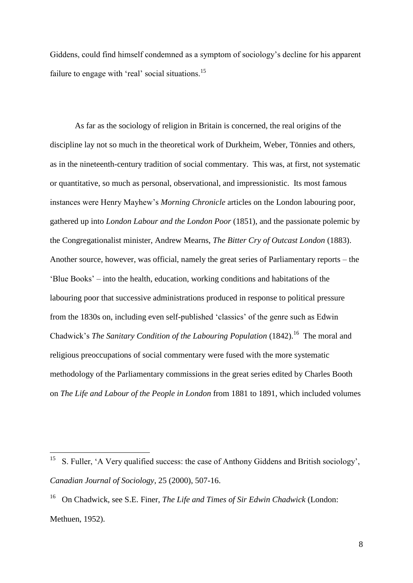Giddens, could find himself condemned as a symptom of sociology's decline for his apparent failure to engage with 'real' social situations.<sup>15</sup>

As far as the sociology of religion in Britain is concerned, the real origins of the discipline lay not so much in the theoretical work of Durkheim, Weber, Tönnies and others, as in the nineteenth-century tradition of social commentary. This was, at first, not systematic or quantitative, so much as personal, observational, and impressionistic. Its most famous instances were Henry Mayhew's *Morning Chronicle* articles on the London labouring poor, gathered up into *London Labour and the London Poor* (1851), and the passionate polemic by the Congregationalist minister, Andrew Mearns, *The Bitter Cry of Outcast London* (1883). Another source, however, was official, namely the great series of Parliamentary reports – the 'Blue Books' – into the health, education, working conditions and habitations of the labouring poor that successive administrations produced in response to political pressure from the 1830s on, including even self-published 'classics' of the genre such as Edwin Chadwick's *The Sanitary Condition of the Labouring Population* (1842).<sup>16</sup> The moral and religious preoccupations of social commentary were fused with the more systematic methodology of the Parliamentary commissions in the great series edited by Charles Booth on *The Life and Labour of the People in London* from 1881 to 1891, which included volumes

<sup>&</sup>lt;sup>15</sup> S. Fuller, 'A Very qualified success: the case of Anthony Giddens and British sociology', *Canadian Journal of Sociology*, 25 (2000), 507-16.

<sup>16</sup> On Chadwick, see S.E. Finer, *The Life and Times of Sir Edwin Chadwick* (London: Methuen, 1952).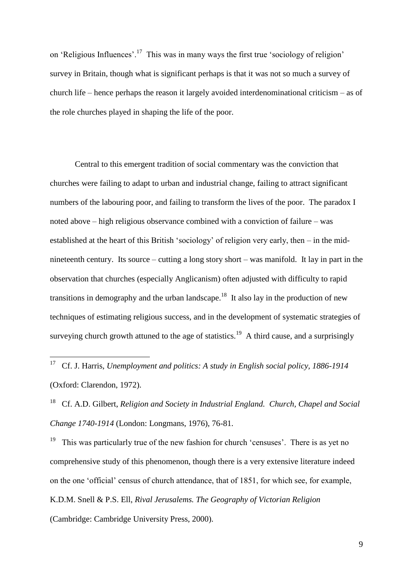on 'Religious Influences'.<sup>17</sup> This was in many ways the first true 'sociology of religion' survey in Britain, though what is significant perhaps is that it was not so much a survey of church life – hence perhaps the reason it largely avoided interdenominational criticism – as of the role churches played in shaping the life of the poor.

Central to this emergent tradition of social commentary was the conviction that churches were failing to adapt to urban and industrial change, failing to attract significant numbers of the labouring poor, and failing to transform the lives of the poor. The paradox I noted above – high religious observance combined with a conviction of failure – was established at the heart of this British 'sociology' of religion very early, then – in the midnineteenth century. Its source – cutting a long story short – was manifold. It lay in part in the observation that churches (especially Anglicanism) often adjusted with difficulty to rapid transitions in demography and the urban landscape.<sup>18</sup> It also lay in the production of new techniques of estimating religious success, and in the development of systematic strategies of surveying church growth attuned to the age of statistics.<sup>19</sup> A third cause, and a surprisingly

18 Cf. A.D. Gilbert, *Religion and Society in Industrial England. Church, Chapel and Social Change 1740-1914* (London: Longmans, 1976), 76-81.

19 This was particularly true of the new fashion for church 'censuses'. There is as yet no comprehensive study of this phenomenon, though there is a very extensive literature indeed on the one 'official' census of church attendance, that of 1851, for which see, for example, K.D.M. Snell & P.S. Ell, *Rival Jerusalems. The Geography of Victorian Religion* (Cambridge: Cambridge University Press, 2000).

 17 Cf. J. Harris, *Unemployment and politics: A study in English social policy, 1886-1914* (Oxford: Clarendon, 1972).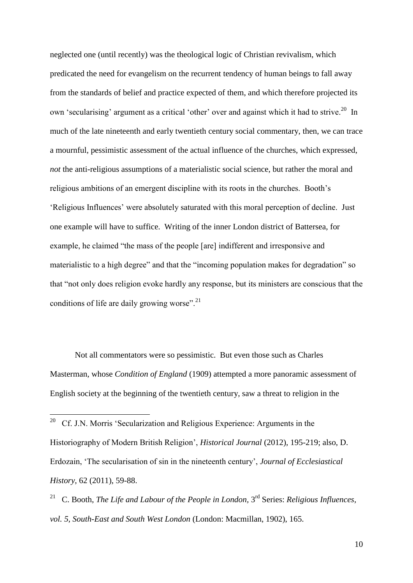neglected one (until recently) was the theological logic of Christian revivalism, which predicated the need for evangelism on the recurrent tendency of human beings to fall away from the standards of belief and practice expected of them, and which therefore projected its own 'secularising' argument as a critical 'other' over and against which it had to strive.<sup>20</sup> In much of the late nineteenth and early twentieth century social commentary, then, we can trace a mournful, pessimistic assessment of the actual influence of the churches, which expressed, *not* the anti-religious assumptions of a materialistic social science, but rather the moral and religious ambitions of an emergent discipline with its roots in the churches. Booth's 'Religious Influences' were absolutely saturated with this moral perception of decline. Just one example will have to suffice. Writing of the inner London district of Battersea, for example, he claimed "the mass of the people [are] indifferent and irresponsive and materialistic to a high degree" and that the "incoming population makes for degradation" so that "not only does religion evoke hardly any response, but its ministers are conscious that the conditions of life are daily growing worse".<sup>21</sup>

Not all commentators were so pessimistic. But even those such as Charles Masterman, whose *Condition of England* (1909) attempted a more panoramic assessment of English society at the beginning of the twentieth century, saw a threat to religion in the

 $\frac{1}{20}$  Cf. J.N. Morris 'Secularization and Religious Experience: Arguments in the Historiography of Modern British Religion', *Historical Journal* (2012), 195-219; also, D. Erdozain, 'The secularisation of sin in the nineteenth century', *Journal of Ecclesiastical History*, 62 (2011), 59-88.

<sup>21</sup> C. Booth, *The Life and Labour of the People in London*, 3<sup>rd</sup> Series: *Religious Influences*, *vol. 5, South-East and South West London* (London: Macmillan, 1902), 165.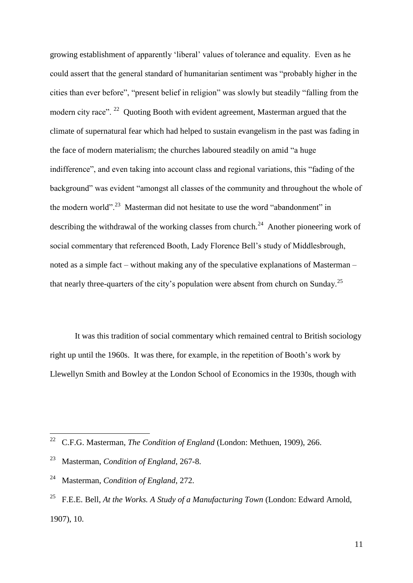growing establishment of apparently 'liberal' values of tolerance and equality. Even as he could assert that the general standard of humanitarian sentiment was "probably higher in the cities than ever before", "present belief in religion" was slowly but steadily "falling from the modern city race". <sup>22</sup> Quoting Booth with evident agreement, Masterman argued that the climate of supernatural fear which had helped to sustain evangelism in the past was fading in the face of modern materialism; the churches laboured steadily on amid "a huge indifference", and even taking into account class and regional variations, this "fading of the background" was evident "amongst all classes of the community and throughout the whole of the modern world".<sup>23</sup> Masterman did not hesitate to use the word "abandonment" in describing the withdrawal of the working classes from church.<sup>24</sup> Another pioneering work of social commentary that referenced Booth, Lady Florence Bell's study of Middlesbrough, noted as a simple fact – without making any of the speculative explanations of Masterman – that nearly three-quarters of the city's population were absent from church on Sunday.<sup>25</sup>

It was this tradition of social commentary which remained central to British sociology right up until the 1960s. It was there, for example, in the repetition of Booth's work by Llewellyn Smith and Bowley at the London School of Economics in the 1930s, though with

 $\frac{1}{22}$ C.F.G. Masterman, *The Condition of England* (London: Methuen, 1909), 266.

<sup>23</sup> Masterman, *Condition of England*, 267-8.

<sup>24</sup> Masterman, *Condition of England*, 272.

<sup>25</sup> F.E.E. Bell, *At the Works. A Study of a Manufacturing Town* (London: Edward Arnold, 1907), 10.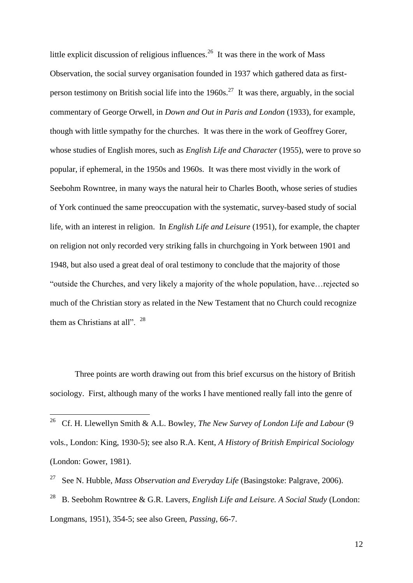little explicit discussion of religious influences.<sup>26</sup> It was there in the work of Mass Observation, the social survey organisation founded in 1937 which gathered data as firstperson testimony on British social life into the  $1960s$ <sup>27</sup> It was there, arguably, in the social commentary of George Orwell, in *Down and Out in Paris and London* (1933), for example, though with little sympathy for the churches. It was there in the work of Geoffrey Gorer, whose studies of English mores, such as *English Life and Character* (1955), were to prove so popular, if ephemeral, in the 1950s and 1960s. It was there most vividly in the work of Seebohm Rowntree, in many ways the natural heir to Charles Booth, whose series of studies of York continued the same preoccupation with the systematic, survey-based study of social life, with an interest in religion. In *English Life and Leisure* (1951), for example, the chapter on religion not only recorded very striking falls in churchgoing in York between 1901 and 1948, but also used a great deal of oral testimony to conclude that the majority of those "outside the Churches, and very likely a majority of the whole population, have…rejected so much of the Christian story as related in the New Testament that no Church could recognize them as Christians at all". <sup>28</sup>

Three points are worth drawing out from this brief excursus on the history of British sociology. First, although many of the works I have mentioned really fall into the genre of

 $\frac{1}{26}$  Cf. H. Llewellyn Smith & A.L. Bowley, *The New Survey of London Life and Labour* (9 vols., London: King, 1930-5); see also R.A. Kent, *A History of British Empirical Sociology* (London: Gower, 1981).

<sup>27</sup> See N. Hubble, *Mass Observation and Everyday Life* (Basingstoke: Palgrave, 2006).

<sup>28</sup> B. Seebohm Rowntree & G.R. Lavers, *English Life and Leisure. A Social Study* (London: Longmans, 1951), 354-5; see also Green, *Passing*, 66-7.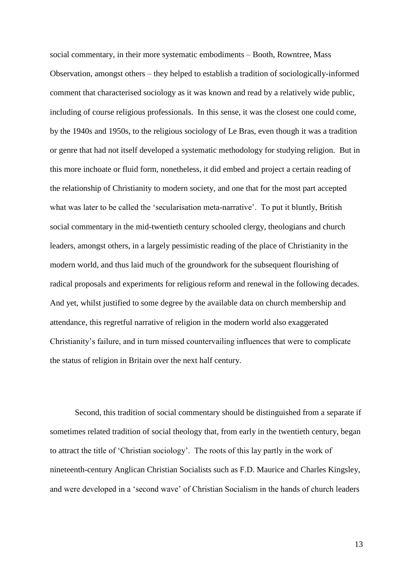social commentary, in their more systematic embodiments – Booth, Rowntree, Mass Observation, amongst others – they helped to establish a tradition of sociologically-informed comment that characterised sociology as it was known and read by a relatively wide public, including of course religious professionals. In this sense, it was the closest one could come, by the 1940s and 1950s, to the religious sociology of Le Bras, even though it was a tradition or genre that had not itself developed a systematic methodology for studying religion. But in this more inchoate or fluid form, nonetheless, it did embed and project a certain reading of the relationship of Christianity to modern society, and one that for the most part accepted what was later to be called the 'secularisation meta-narrative'. To put it bluntly, British social commentary in the mid-twentieth century schooled clergy, theologians and church leaders, amongst others, in a largely pessimistic reading of the place of Christianity in the modern world, and thus laid much of the groundwork for the subsequent flourishing of radical proposals and experiments for religious reform and renewal in the following decades. And yet, whilst justified to some degree by the available data on church membership and attendance, this regretful narrative of religion in the modern world also exaggerated Christianity's failure, and in turn missed countervailing influences that were to complicate the status of religion in Britain over the next half century.

Second, this tradition of social commentary should be distinguished from a separate if sometimes related tradition of social theology that, from early in the twentieth century, began to attract the title of 'Christian sociology'. The roots of this lay partly in the work of nineteenth-century Anglican Christian Socialists such as F.D. Maurice and Charles Kingsley, and were developed in a 'second wave' of Christian Socialism in the hands of church leaders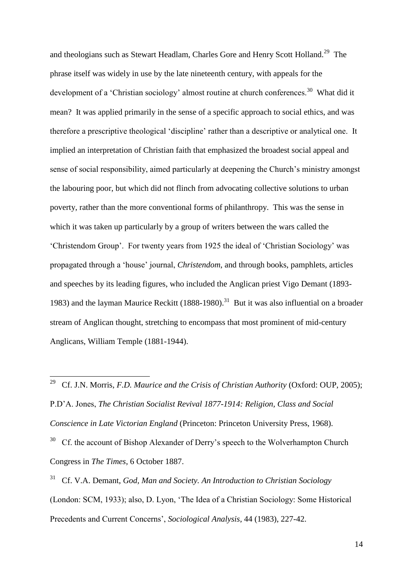and theologians such as Stewart Headlam, Charles Gore and Henry Scott Holland.<sup>29</sup> The phrase itself was widely in use by the late nineteenth century, with appeals for the development of a 'Christian sociology' almost routine at church conferences.<sup>30</sup> What did it mean? It was applied primarily in the sense of a specific approach to social ethics, and was therefore a prescriptive theological 'discipline' rather than a descriptive or analytical one. It implied an interpretation of Christian faith that emphasized the broadest social appeal and sense of social responsibility, aimed particularly at deepening the Church's ministry amongst the labouring poor, but which did not flinch from advocating collective solutions to urban poverty, rather than the more conventional forms of philanthropy. This was the sense in which it was taken up particularly by a group of writers between the wars called the 'Christendom Group'. For twenty years from 1925 the ideal of 'Christian Sociology' was propagated through a 'house' journal, *Christendom*, and through books, pamphlets, articles and speeches by its leading figures, who included the Anglican priest Vigo Demant (1893- 1983) and the layman Maurice Reckitt  $(1888-1980).$ <sup>31</sup> But it was also influential on a broader stream of Anglican thought, stretching to encompass that most prominent of mid-century Anglicans, William Temple (1881-1944).

 29 Cf. J.N. Morris, *F.D. Maurice and the Crisis of Christian Authority* (Oxford: OUP, 2005); P.D'A. Jones, *The Christian Socialist Revival 1877-1914: Religion, Class and Social Conscience in Late Victorian England* (Princeton: Princeton University Press, 1968). <sup>30</sup> Cf. the account of Bishop Alexander of Derry's speech to the Wolverhampton Church Congress in *The Times*, 6 October 1887.

<sup>31</sup> Cf. V.A. Demant, *God, Man and Society. An Introduction to Christian Sociology* (London: SCM, 1933); also, D. Lyon, 'The Idea of a Christian Sociology: Some Historical Precedents and Current Concerns', *Sociological Analysis*, 44 (1983), 227-42.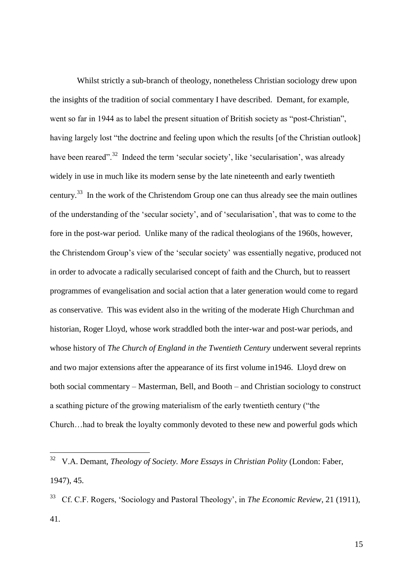Whilst strictly a sub-branch of theology, nonetheless Christian sociology drew upon the insights of the tradition of social commentary I have described. Demant, for example, went so far in 1944 as to label the present situation of British society as "post-Christian", having largely lost "the doctrine and feeling upon which the results [of the Christian outlook] have been reared".<sup>32</sup> Indeed the term 'secular society', like 'secularisation', was already widely in use in much like its modern sense by the late nineteenth and early twentieth century.<sup>33</sup> In the work of the Christendom Group one can thus already see the main outlines of the understanding of the 'secular society', and of 'secularisation', that was to come to the fore in the post-war period. Unlike many of the radical theologians of the 1960s, however, the Christendom Group's view of the 'secular society' was essentially negative, produced not in order to advocate a radically secularised concept of faith and the Church, but to reassert programmes of evangelisation and social action that a later generation would come to regard as conservative. This was evident also in the writing of the moderate High Churchman and historian, Roger Lloyd, whose work straddled both the inter-war and post-war periods, and whose history of *The Church of England in the Twentieth Century* underwent several reprints and two major extensions after the appearance of its first volume in1946. Lloyd drew on both social commentary – Masterman, Bell, and Booth – and Christian sociology to construct a scathing picture of the growing materialism of the early twentieth century ("the Church…had to break the loyalty commonly devoted to these new and powerful gods which

<sup>32</sup> V.A. Demant, *Theology of Society. More Essays in Christian Polity* (London: Faber, 1947), 45.

<sup>33</sup> Cf. C.F. Rogers, 'Sociology and Pastoral Theology', in *The Economic Review*, 21 (1911), 41.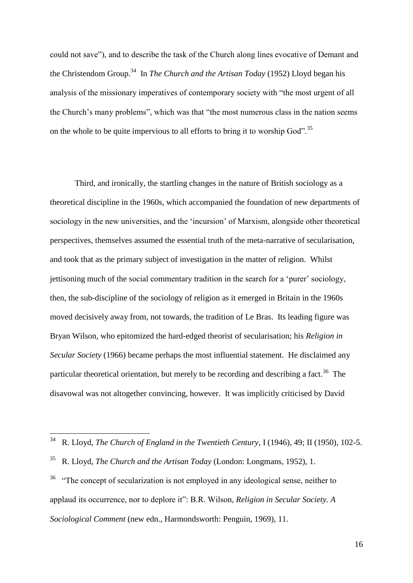could not save"), and to describe the task of the Church along lines evocative of Demant and the Christendom Group.<sup>34</sup> In *The Church and the Artisan Today* (1952) Lloyd began his analysis of the missionary imperatives of contemporary society with "the most urgent of all the Church's many problems", which was that "the most numerous class in the nation seems on the whole to be quite impervious to all efforts to bring it to worship God".<sup>35</sup>

Third, and ironically, the startling changes in the nature of British sociology as a theoretical discipline in the 1960s, which accompanied the foundation of new departments of sociology in the new universities, and the 'incursion' of Marxism, alongside other theoretical perspectives, themselves assumed the essential truth of the meta-narrative of secularisation, and took that as the primary subject of investigation in the matter of religion. Whilst jettisoning much of the social commentary tradition in the search for a 'purer' sociology, then, the sub-discipline of the sociology of religion as it emerged in Britain in the 1960s moved decisively away from, not towards, the tradition of Le Bras. Its leading figure was Bryan Wilson, who epitomized the hard-edged theorist of secularisation; his *Religion in Secular Society* (1966) became perhaps the most influential statement. He disclaimed any particular theoretical orientation, but merely to be recording and describing a fact.<sup>36</sup> The disavowal was not altogether convincing, however. It was implicitly criticised by David

<sup>34</sup> R. Lloyd, *The Church of England in the Twentieth Century*, I (1946), 49; II (1950), 102-5.

<sup>35</sup> R. Lloyd, *The Church and the Artisan Today* (London: Longmans, 1952), 1.

<sup>36</sup> "The concept of secularization is not employed in any ideological sense, neither to applaud its occurrence, nor to deplore it": B.R. Wilson, *Religion in Secular Society. A Sociological Comment* (new edn., Harmondsworth: Penguin, 1969), 11.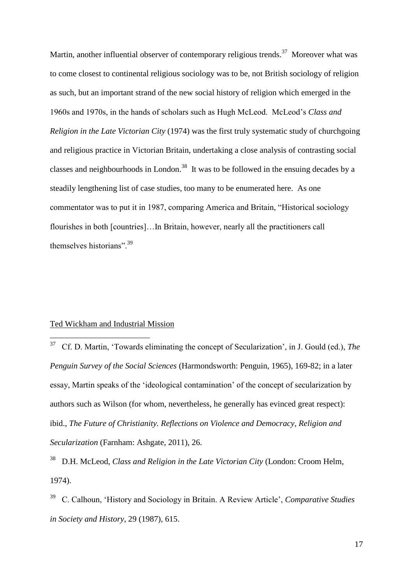Martin, another influential observer of contemporary religious trends.<sup>37</sup> Moreover what was to come closest to continental religious sociology was to be, not British sociology of religion as such, but an important strand of the new social history of religion which emerged in the 1960s and 1970s, in the hands of scholars such as Hugh McLeod. McLeod's *Class and Religion in the Late Victorian City* (1974) was the first truly systematic study of churchgoing and religious practice in Victorian Britain, undertaking a close analysis of contrasting social classes and neighbourhoods in London.<sup>38</sup> It was to be followed in the ensuing decades by a steadily lengthening list of case studies, too many to be enumerated here. As one commentator was to put it in 1987, comparing America and Britain, "Historical sociology flourishes in both [countries]…In Britain, however, nearly all the practitioners call themselves historians".<sup>39</sup>

# Ted Wickham and Industrial Mission

<u>.</u>

37 Cf. D. Martin, 'Towards eliminating the concept of Secularization', in J. Gould (ed.), *The Penguin Survey of the Social Sciences* (Harmondsworth: Penguin, 1965), 169-82; in a later essay, Martin speaks of the 'ideological contamination' of the concept of secularization by authors such as Wilson (for whom, nevertheless, he generally has evinced great respect): ibid., *The Future of Christianity. Reflections on Violence and Democracy, Religion and Secularization* (Farnham: Ashgate, 2011), 26.

38 D.H. McLeod, *Class and Religion in the Late Victorian City* (London: Croom Helm, 1974).

<sup>39</sup> C. Calhoun, 'History and Sociology in Britain. A Review Article', *Comparative Studies in Society and History*, 29 (1987), 615.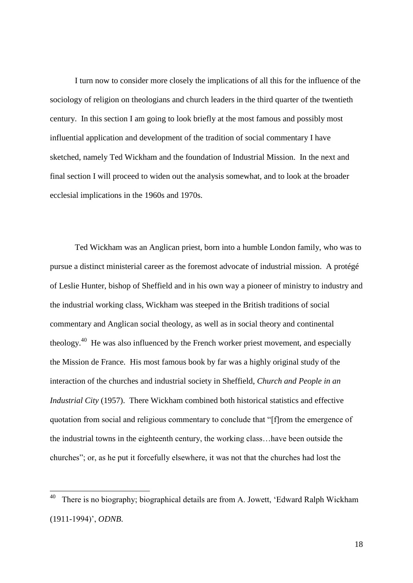I turn now to consider more closely the implications of all this for the influence of the sociology of religion on theologians and church leaders in the third quarter of the twentieth century. In this section I am going to look briefly at the most famous and possibly most influential application and development of the tradition of social commentary I have sketched, namely Ted Wickham and the foundation of Industrial Mission. In the next and final section I will proceed to widen out the analysis somewhat, and to look at the broader ecclesial implications in the 1960s and 1970s.

Ted Wickham was an Anglican priest, born into a humble London family, who was to pursue a distinct ministerial career as the foremost advocate of industrial mission. A protégé of Leslie Hunter, bishop of Sheffield and in his own way a pioneer of ministry to industry and the industrial working class, Wickham was steeped in the British traditions of social commentary and Anglican social theology, as well as in social theory and continental theology.<sup>40</sup> He was also influenced by the French worker priest movement, and especially the Mission de France. His most famous book by far was a highly original study of the interaction of the churches and industrial society in Sheffield, *Church and People in an Industrial City* (1957). There Wickham combined both historical statistics and effective quotation from social and religious commentary to conclude that "[f]rom the emergence of the industrial towns in the eighteenth century, the working class…have been outside the churches"; or, as he put it forcefully elsewhere, it was not that the churches had lost the

<u>.</u>

<sup>40</sup> There is no biography; biographical details are from A. Jowett, 'Edward Ralph Wickham (1911-1994)', *ODNB*.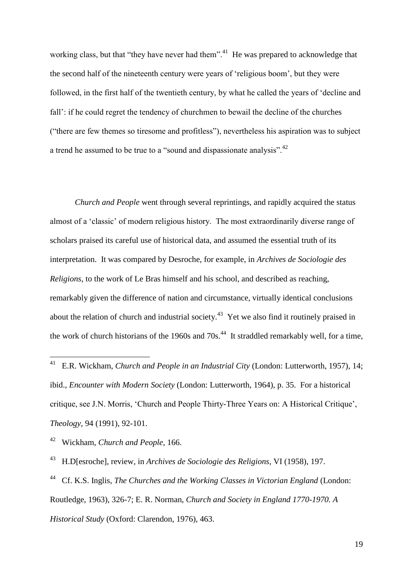working class, but that "they have never had them".<sup>41</sup> He was prepared to acknowledge that the second half of the nineteenth century were years of 'religious boom', but they were followed, in the first half of the twentieth century, by what he called the years of 'decline and fall': if he could regret the tendency of churchmen to bewail the decline of the churches ("there are few themes so tiresome and profitless"), nevertheless his aspiration was to subject a trend he assumed to be true to a "sound and dispassionate analysis".<sup>42</sup>

*Church and People* went through several reprintings, and rapidly acquired the status almost of a 'classic' of modern religious history. The most extraordinarily diverse range of scholars praised its careful use of historical data, and assumed the essential truth of its interpretation. It was compared by Desroche, for example, in *Archives de Sociologie des Religions*, to the work of Le Bras himself and his school, and described as reaching, remarkably given the difference of nation and circumstance, virtually identical conclusions about the relation of church and industrial society.<sup>43</sup> Yet we also find it routinely praised in the work of church historians of the 1960s and  $70s<sup>44</sup>$ . It straddled remarkably well, for a time,

44 Cf. K.S. Inglis, *The Churches and the Working Classes in Victorian England* (London: Routledge, 1963), 326-7; E. R. Norman, *Church and Society in England 1770-1970. A Historical Study* (Oxford: Clarendon, 1976), 463.

 $\frac{1}{41}$  E.R. Wickham, *Church and People in an Industrial City* (London: Lutterworth, 1957), 14; ibid., *Encounter with Modern Society* (London: Lutterworth, 1964), p. 35. For a historical critique, see J.N. Morris, 'Church and People Thirty-Three Years on: A Historical Critique', *Theology*, 94 (1991), 92-101.

<sup>42</sup> Wickham, *Church and People*, 166.

<sup>43</sup> H.D[esroche], review, in *Archives de Sociologie des Religions*, VI (1958), 197.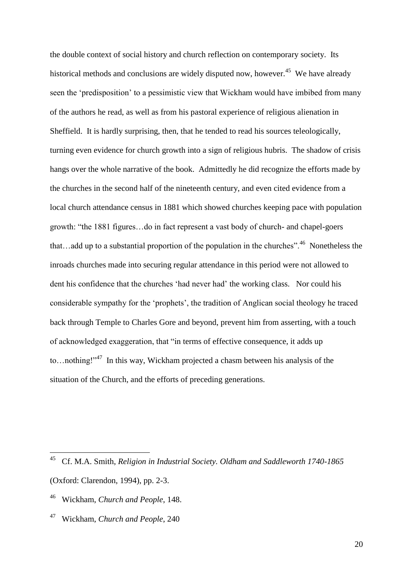the double context of social history and church reflection on contemporary society. Its historical methods and conclusions are widely disputed now, however.<sup>45</sup> We have already seen the 'predisposition' to a pessimistic view that Wickham would have imbibed from many of the authors he read, as well as from his pastoral experience of religious alienation in Sheffield. It is hardly surprising, then, that he tended to read his sources teleologically, turning even evidence for church growth into a sign of religious hubris. The shadow of crisis hangs over the whole narrative of the book. Admittedly he did recognize the efforts made by the churches in the second half of the nineteenth century, and even cited evidence from a local church attendance census in 1881 which showed churches keeping pace with population growth: "the 1881 figures…do in fact represent a vast body of church- and chapel-goers that...add up to a substantial proportion of the population in the churches".<sup>46</sup> Nonetheless the inroads churches made into securing regular attendance in this period were not allowed to dent his confidence that the churches 'had never had' the working class. Nor could his considerable sympathy for the 'prophets', the tradition of Anglican social theology he traced back through Temple to Charles Gore and beyond, prevent him from asserting, with a touch of acknowledged exaggeration, that "in terms of effective consequence, it adds up to... nothing!"<sup>47</sup> In this way, Wickham projected a chasm between his analysis of the situation of the Church, and the efforts of preceding generations.

 45 Cf. M.A. Smith, *Religion in Industrial Society. Oldham and Saddleworth 1740-1865* (Oxford: Clarendon, 1994), pp. 2-3.

<sup>46</sup> Wickham, *Church and People*, 148.

<sup>47</sup> Wickham, *Church and People*, 240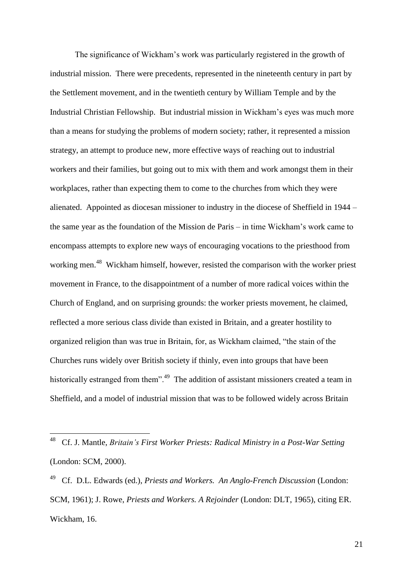The significance of Wickham's work was particularly registered in the growth of industrial mission. There were precedents, represented in the nineteenth century in part by the Settlement movement, and in the twentieth century by William Temple and by the Industrial Christian Fellowship. But industrial mission in Wickham's eyes was much more than a means for studying the problems of modern society; rather, it represented a mission strategy, an attempt to produce new, more effective ways of reaching out to industrial workers and their families, but going out to mix with them and work amongst them in their workplaces, rather than expecting them to come to the churches from which they were alienated. Appointed as diocesan missioner to industry in the diocese of Sheffield in 1944 – the same year as the foundation of the Mission de Paris – in time Wickham's work came to encompass attempts to explore new ways of encouraging vocations to the priesthood from working men.<sup>48</sup> Wickham himself, however, resisted the comparison with the worker priest movement in France, to the disappointment of a number of more radical voices within the Church of England, and on surprising grounds: the worker priests movement, he claimed, reflected a more serious class divide than existed in Britain, and a greater hostility to organized religion than was true in Britain, for, as Wickham claimed, "the stain of the Churches runs widely over British society if thinly, even into groups that have been historically estranged from them".<sup>49</sup> The addition of assistant missioners created a team in Sheffield, and a model of industrial mission that was to be followed widely across Britain

<sup>48</sup> Cf. J. Mantle, *Britain's First Worker Priests: Radical Ministry in a Post-War Setting* (London: SCM, 2000).

<sup>49</sup> Cf. D.L. Edwards (ed.), *Priests and Workers. An Anglo-French Discussion* (London: SCM, 1961); J. Rowe, *Priests and Workers. A Rejoinder* (London: DLT, 1965), citing ER. Wickham, 16.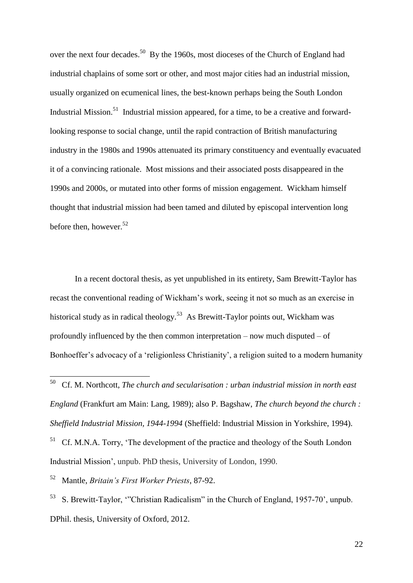over the next four decades.<sup>50</sup> By the 1960s, most dioceses of the Church of England had industrial chaplains of some sort or other, and most major cities had an industrial mission, usually organized on ecumenical lines, the best-known perhaps being the South London Industrial Mission.<sup>51</sup> Industrial mission appeared, for a time, to be a creative and forwardlooking response to social change, until the rapid contraction of British manufacturing industry in the 1980s and 1990s attenuated its primary constituency and eventually evacuated it of a convincing rationale. Most missions and their associated posts disappeared in the 1990s and 2000s, or mutated into other forms of mission engagement. Wickham himself thought that industrial mission had been tamed and diluted by episcopal intervention long before then, however.  $52$ 

In a recent doctoral thesis, as yet unpublished in its entirety, Sam Brewitt-Taylor has recast the conventional reading of Wickham's work, seeing it not so much as an exercise in historical study as in radical theology.<sup>53</sup> As Brewitt-Taylor points out, Wickham was profoundly influenced by the then common interpretation – now much disputed – of Bonhoeffer's advocacy of a 'religionless Christianity', a religion suited to a modern humanity

52 Mantle, *Britain's First Worker Priests*, 87-92.

1

53 S. Brewitt-Taylor, '"Christian Radicalism" in the Church of England, 1957-70', unpub. DPhil. thesis, University of Oxford, 2012.

<sup>50</sup> Cf. M. Northcott, *The church and secularisation : urban industrial mission in north east England* (Frankfurt am Main: Lang, 1989); also P. Bagshaw, *The church beyond the church : Sheffield Industrial Mission, 1944-1994* (Sheffield: Industrial Mission in Yorkshire, 1994).

<sup>51</sup> Cf. M.N.A. Torry, 'The development of the practice and theology of the South London Industrial Mission', unpub. PhD thesis, University of London, 1990.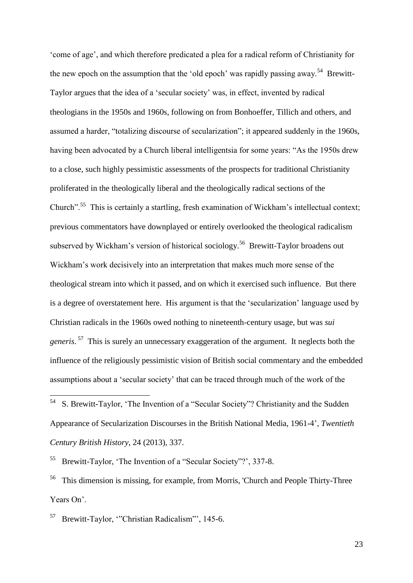'come of age', and which therefore predicated a plea for a radical reform of Christianity for the new epoch on the assumption that the 'old epoch' was rapidly passing away.<sup>54</sup> Brewitt-Taylor argues that the idea of a 'secular society' was, in effect, invented by radical theologians in the 1950s and 1960s, following on from Bonhoeffer, Tillich and others, and assumed a harder, "totalizing discourse of secularization"; it appeared suddenly in the 1960s, having been advocated by a Church liberal intelligentsia for some years: "As the 1950s drew to a close, such highly pessimistic assessments of the prospects for traditional Christianity proliferated in the theologically liberal and the theologically radical sections of the Church".<sup>55</sup> This is certainly a startling, fresh examination of Wickham's intellectual context; previous commentators have downplayed or entirely overlooked the theological radicalism subserved by Wickham's version of historical sociology.<sup>56</sup> Brewitt-Taylor broadens out Wickham's work decisively into an interpretation that makes much more sense of the theological stream into which it passed, and on which it exercised such influence. But there is a degree of overstatement here. His argument is that the 'secularization' language used by Christian radicals in the 1960s owed nothing to nineteenth-century usage, but was *sui generis*. 57 This is surely an unnecessary exaggeration of the argument. It neglects both the influence of the religiously pessimistic vision of British social commentary and the embedded assumptions about a 'secular society' that can be traced through much of the work of the

55 Brewitt-Taylor, 'The Invention of a "Secular Society"?', 337-8.

56 This dimension is missing, for example, from Morris, 'Church and People Thirty-Three Years On'.

57 Brewitt-Taylor, '"Christian Radicalism"', 145-6.

<u>.</u>

<sup>54</sup> S. Brewitt-Taylor, 'The Invention of a "Secular Society"? Christianity and the Sudden Appearance of Secularization Discourses in the British National Media, 1961-4', *Twentieth Century British History*, 24 (2013), 337.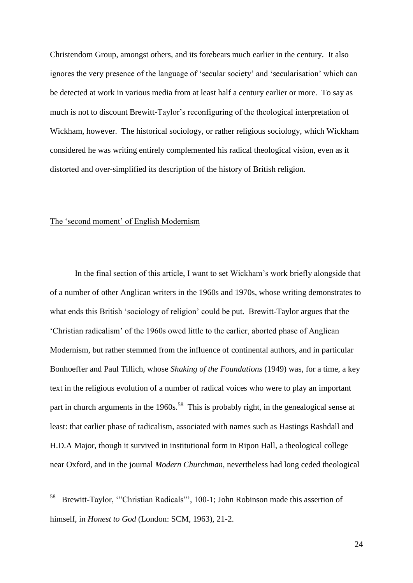Christendom Group, amongst others, and its forebears much earlier in the century. It also ignores the very presence of the language of 'secular society' and 'secularisation' which can be detected at work in various media from at least half a century earlier or more. To say as much is not to discount Brewitt-Taylor's reconfiguring of the theological interpretation of Wickham, however. The historical sociology, or rather religious sociology, which Wickham considered he was writing entirely complemented his radical theological vision, even as it distorted and over-simplified its description of the history of British religion.

#### The 'second moment' of English Modernism

<u>.</u>

In the final section of this article, I want to set Wickham's work briefly alongside that of a number of other Anglican writers in the 1960s and 1970s, whose writing demonstrates to what ends this British 'sociology of religion' could be put. Brewitt-Taylor argues that the 'Christian radicalism' of the 1960s owed little to the earlier, aborted phase of Anglican Modernism, but rather stemmed from the influence of continental authors, and in particular Bonhoeffer and Paul Tillich, whose *Shaking of the Foundations* (1949) was, for a time, a key text in the religious evolution of a number of radical voices who were to play an important part in church arguments in the 1960s.<sup>58</sup> This is probably right, in the genealogical sense at least: that earlier phase of radicalism, associated with names such as Hastings Rashdall and H.D.A Major, though it survived in institutional form in Ripon Hall, a theological college near Oxford, and in the journal *Modern Churchman*, nevertheless had long ceded theological

<sup>58</sup> Brewitt-Taylor, '"Christian Radicals"', 100-1; John Robinson made this assertion of himself, in *Honest to God* (London: SCM, 1963), 21-2.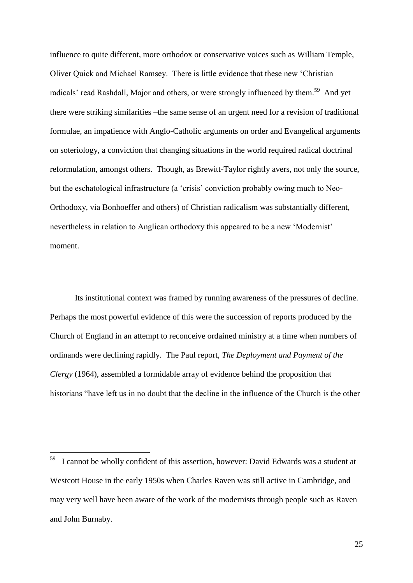influence to quite different, more orthodox or conservative voices such as William Temple, Oliver Quick and Michael Ramsey. There is little evidence that these new 'Christian radicals' read Rashdall, Major and others, or were strongly influenced by them.<sup>59</sup> And yet there were striking similarities –the same sense of an urgent need for a revision of traditional formulae, an impatience with Anglo-Catholic arguments on order and Evangelical arguments on soteriology, a conviction that changing situations in the world required radical doctrinal reformulation, amongst others. Though, as Brewitt-Taylor rightly avers, not only the source, but the eschatological infrastructure (a 'crisis' conviction probably owing much to Neo-Orthodoxy, via Bonhoeffer and others) of Christian radicalism was substantially different, nevertheless in relation to Anglican orthodoxy this appeared to be a new 'Modernist' moment.

Its institutional context was framed by running awareness of the pressures of decline. Perhaps the most powerful evidence of this were the succession of reports produced by the Church of England in an attempt to reconceive ordained ministry at a time when numbers of ordinands were declining rapidly. The Paul report, *The Deployment and Payment of the Clergy* (1964), assembled a formidable array of evidence behind the proposition that historians "have left us in no doubt that the decline in the influence of the Church is the other

<sup>&</sup>lt;sup>59</sup> I cannot be wholly confident of this assertion, however: David Edwards was a student at Westcott House in the early 1950s when Charles Raven was still active in Cambridge, and may very well have been aware of the work of the modernists through people such as Raven and John Burnaby.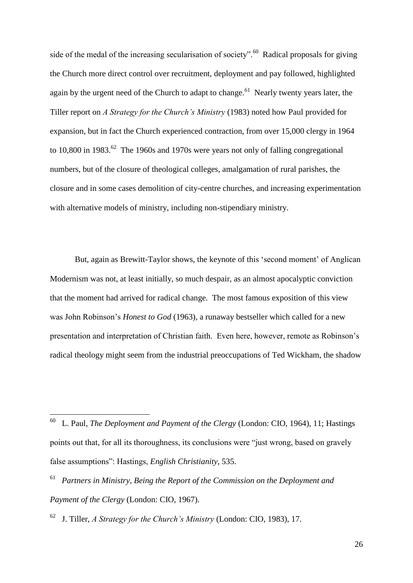side of the medal of the increasing secularisation of society".<sup>60</sup> Radical proposals for giving the Church more direct control over recruitment, deployment and pay followed, highlighted again by the urgent need of the Church to adapt to change.<sup>61</sup> Nearly twenty years later, the Tiller report on *A Strategy for the Church's Ministry* (1983) noted how Paul provided for expansion, but in fact the Church experienced contraction, from over 15,000 clergy in 1964 to 10,800 in 1983.<sup>62</sup> The 1960s and 1970s were years not only of falling congregational numbers, but of the closure of theological colleges, amalgamation of rural parishes, the closure and in some cases demolition of city-centre churches, and increasing experimentation with alternative models of ministry, including non-stipendiary ministry.

But, again as Brewitt-Taylor shows, the keynote of this 'second moment' of Anglican Modernism was not, at least initially, so much despair, as an almost apocalyptic conviction that the moment had arrived for radical change. The most famous exposition of this view was John Robinson's *Honest to God* (1963), a runaway bestseller which called for a new presentation and interpretation of Christian faith. Even here, however, remote as Robinson's radical theology might seem from the industrial preoccupations of Ted Wickham, the shadow

<sup>60</sup> L. Paul, *The Deployment and Payment of the Clergy* (London: CIO, 1964), 11; Hastings points out that, for all its thoroughness, its conclusions were "just wrong, based on gravely false assumptions": Hastings, *English Christianity*, 535.

<sup>61</sup> *Partners in Ministry, Being the Report of the Commission on the Deployment and Payment of the Clergy* (London: CIO, 1967).

<sup>62</sup> J. Tiller, *A Strategy for the Church's Ministry* (London: CIO, 1983), 17.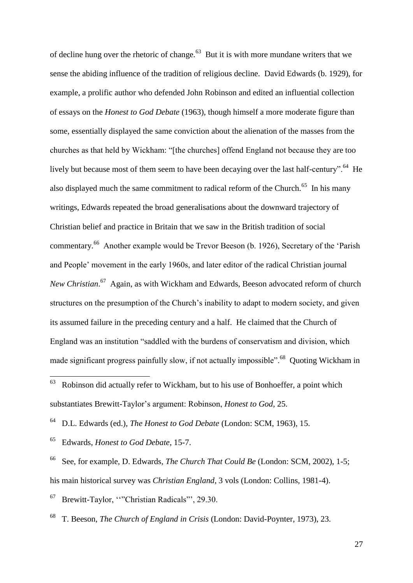of decline hung over the rhetoric of change. $63$  But it is with more mundane writers that we sense the abiding influence of the tradition of religious decline. David Edwards (b. 1929), for example, a prolific author who defended John Robinson and edited an influential collection of essays on the *Honest to God Debate* (1963), though himself a more moderate figure than some, essentially displayed the same conviction about the alienation of the masses from the churches as that held by Wickham: "[the churches] offend England not because they are too lively but because most of them seem to have been decaying over the last half-century".<sup>64</sup> He also displayed much the same commitment to radical reform of the Church.<sup>65</sup> In his many writings, Edwards repeated the broad generalisations about the downward trajectory of Christian belief and practice in Britain that we saw in the British tradition of social commentary.<sup>66</sup> Another example would be Trevor Beeson (b. 1926), Secretary of the 'Parish and People' movement in the early 1960s, and later editor of the radical Christian journal *New Christian*. 67 Again, as with Wickham and Edwards, Beeson advocated reform of church structures on the presumption of the Church's inability to adapt to modern society, and given its assumed failure in the preceding century and a half. He claimed that the Church of England was an institution "saddled with the burdens of conservatism and division, which made significant progress painfully slow, if not actually impossible".<sup>68</sup> Quoting Wickham in

64 D.L. Edwards (ed.), *The Honest to God Debate* (London: SCM, 1963), 15.

65 Edwards, *Honest to God Debate*, 15-7.

66 See, for example, D. Edwards, *The Church That Could Be* (London: SCM, 2002), 1-5; his main historical survey was *Christian England*, 3 vols (London: Collins, 1981-4).

67 Brewitt-Taylor, ""Christian Radicals"', 29.30.

68 T. Beeson, *The Church of England in Crisis* (London: David-Poynter, 1973), 23.

 $rac{1}{63}$  Robinson did actually refer to Wickham, but to his use of Bonhoeffer, a point which substantiates Brewitt-Taylor's argument: Robinson, *Honest to God*, 25.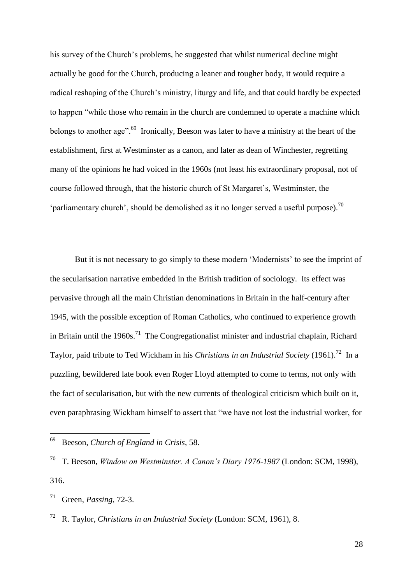his survey of the Church's problems, he suggested that whilst numerical decline might actually be good for the Church, producing a leaner and tougher body, it would require a radical reshaping of the Church's ministry, liturgy and life, and that could hardly be expected to happen "while those who remain in the church are condemned to operate a machine which belongs to another age".<sup>69</sup> Ironically, Beeson was later to have a ministry at the heart of the establishment, first at Westminster as a canon, and later as dean of Winchester, regretting many of the opinions he had voiced in the 1960s (not least his extraordinary proposal, not of course followed through, that the historic church of St Margaret's, Westminster, the 'parliamentary church', should be demolished as it no longer served a useful purpose).<sup>70</sup>

But it is not necessary to go simply to these modern 'Modernists' to see the imprint of the secularisation narrative embedded in the British tradition of sociology. Its effect was pervasive through all the main Christian denominations in Britain in the half-century after 1945, with the possible exception of Roman Catholics, who continued to experience growth in Britain until the 1960s.<sup>71</sup> The Congregationalist minister and industrial chaplain, Richard Taylor, paid tribute to Ted Wickham in his *Christians in an Industrial Society* (1961).<sup>72</sup> In a puzzling, bewildered late book even Roger Lloyd attempted to come to terms, not only with the fact of secularisation, but with the new currents of theological criticism which built on it, even paraphrasing Wickham himself to assert that "we have not lost the industrial worker, for

<sup>69</sup> Beeson, *Church of England in Crisis*, 58.

<sup>70</sup> T. Beeson, *Window on Westminster. A Canon's Diary 1976-1987* (London: SCM, 1998), 316.

<sup>71</sup> Green, *Passing*, 72-3.

<sup>72</sup> R. Taylor, *Christians in an Industrial Society* (London: SCM, 1961), 8.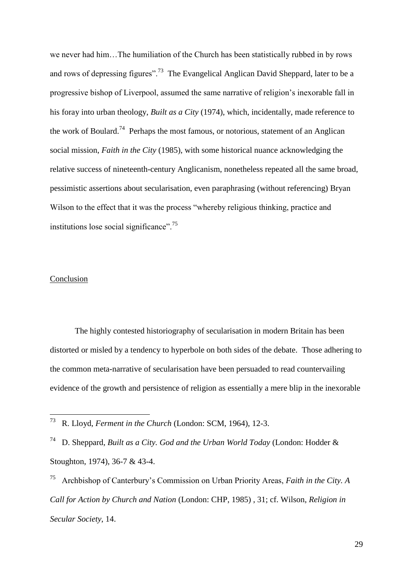we never had him…The humiliation of the Church has been statistically rubbed in by rows and rows of depressing figures".<sup>73</sup> The Evangelical Anglican David Sheppard, later to be a progressive bishop of Liverpool, assumed the same narrative of religion's inexorable fall in his foray into urban theology, *Built as a City* (1974), which, incidentally, made reference to the work of Boulard.<sup>74</sup> Perhaps the most famous, or notorious, statement of an Anglican social mission, *Faith in the City* (1985), with some historical nuance acknowledging the relative success of nineteenth-century Anglicanism, nonetheless repeated all the same broad, pessimistic assertions about secularisation, even paraphrasing (without referencing) Bryan Wilson to the effect that it was the process "whereby religious thinking, practice and institutions lose social significance".<sup>75</sup>

### Conclusion

The highly contested historiography of secularisation in modern Britain has been distorted or misled by a tendency to hyperbole on both sides of the debate. Those adhering to the common meta-narrative of secularisation have been persuaded to read countervailing evidence of the growth and persistence of religion as essentially a mere blip in the inexorable

 $\frac{1}{73}$ R. Lloyd, *Ferment in the Church* (London: SCM, 1964), 12-3.

<sup>74</sup> D. Sheppard, *Built as a City. God and the Urban World Today* (London: Hodder & Stoughton, 1974), 36-7 & 43-4.

<sup>75</sup> Archbishop of Canterbury's Commission on Urban Priority Areas, *Faith in the City. A Call for Action by Church and Nation* (London: CHP, 1985) , 31; cf. Wilson, *Religion in Secular Society*, 14.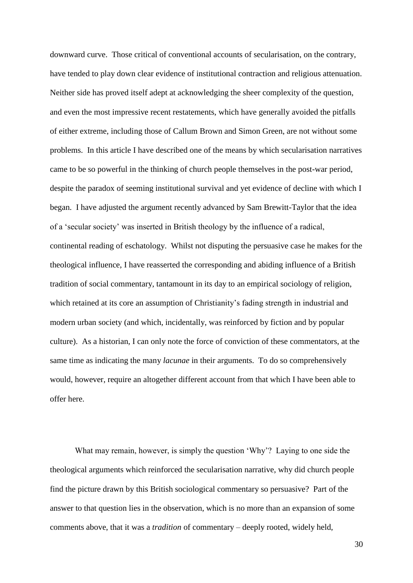downward curve. Those critical of conventional accounts of secularisation, on the contrary, have tended to play down clear evidence of institutional contraction and religious attenuation. Neither side has proved itself adept at acknowledging the sheer complexity of the question, and even the most impressive recent restatements, which have generally avoided the pitfalls of either extreme, including those of Callum Brown and Simon Green, are not without some problems. In this article I have described one of the means by which secularisation narratives came to be so powerful in the thinking of church people themselves in the post-war period, despite the paradox of seeming institutional survival and yet evidence of decline with which I began. I have adjusted the argument recently advanced by Sam Brewitt-Taylor that the idea of a 'secular society' was inserted in British theology by the influence of a radical, continental reading of eschatology. Whilst not disputing the persuasive case he makes for the theological influence, I have reasserted the corresponding and abiding influence of a British tradition of social commentary, tantamount in its day to an empirical sociology of religion, which retained at its core an assumption of Christianity's fading strength in industrial and modern urban society (and which, incidentally, was reinforced by fiction and by popular culture). As a historian, I can only note the force of conviction of these commentators, at the same time as indicating the many *lacunae* in their arguments. To do so comprehensively would, however, require an altogether different account from that which I have been able to offer here.

What may remain, however, is simply the question 'Why'? Laying to one side the theological arguments which reinforced the secularisation narrative, why did church people find the picture drawn by this British sociological commentary so persuasive? Part of the answer to that question lies in the observation, which is no more than an expansion of some comments above, that it was a *tradition* of commentary – deeply rooted, widely held,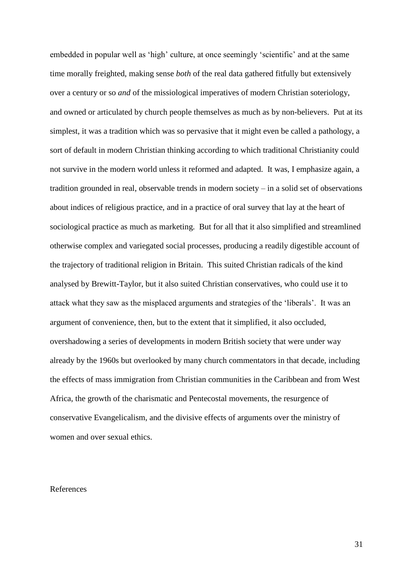embedded in popular well as 'high' culture, at once seemingly 'scientific' and at the same time morally freighted, making sense *both* of the real data gathered fitfully but extensively over a century or so *and* of the missiological imperatives of modern Christian soteriology, and owned or articulated by church people themselves as much as by non-believers. Put at its simplest, it was a tradition which was so pervasive that it might even be called a pathology, a sort of default in modern Christian thinking according to which traditional Christianity could not survive in the modern world unless it reformed and adapted. It was, I emphasize again, a tradition grounded in real, observable trends in modern society – in a solid set of observations about indices of religious practice, and in a practice of oral survey that lay at the heart of sociological practice as much as marketing. But for all that it also simplified and streamlined otherwise complex and variegated social processes, producing a readily digestible account of the trajectory of traditional religion in Britain. This suited Christian radicals of the kind analysed by Brewitt-Taylor, but it also suited Christian conservatives, who could use it to attack what they saw as the misplaced arguments and strategies of the 'liberals'. It was an argument of convenience, then, but to the extent that it simplified, it also occluded, overshadowing a series of developments in modern British society that were under way already by the 1960s but overlooked by many church commentators in that decade, including the effects of mass immigration from Christian communities in the Caribbean and from West Africa, the growth of the charismatic and Pentecostal movements, the resurgence of conservative Evangelicalism, and the divisive effects of arguments over the ministry of women and over sexual ethics.

# References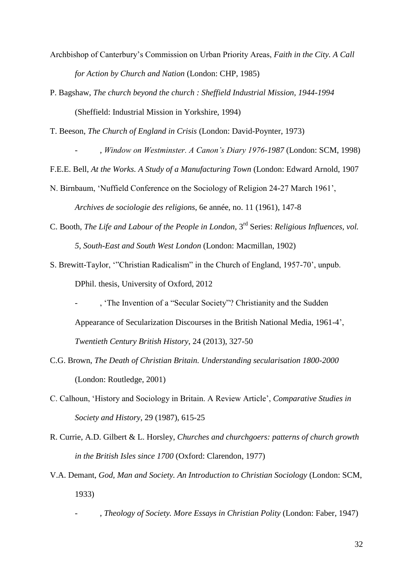- Archbishop of Canterbury's Commission on Urban Priority Areas, *Faith in the City. A Call for Action by Church and Nation* (London: CHP, 1985)
- P. Bagshaw, *The church beyond the church : Sheffield Industrial Mission, 1944-1994* (Sheffield: Industrial Mission in Yorkshire, 1994)

T. Beeson, *The Church of England in Crisis* (London: David-Poynter, 1973)

- , *Window on Westminster. A Canon's Diary 1976-1987* (London: SCM, 1998)

F.E.E. Bell, *At the Works. A Study of a Manufacturing Town* (London: Edward Arnold, 1907

N. Birnbaum, 'Nuffield Conference on the Sociology of Religion 24-27 March 1961',

*Archives de sociologie des religions*, 6e année, no. 11 (1961), 147-8

- C. Booth, *The Life and Labour of the People in London*, 3<sup>rd</sup> Series: *Religious Influences*, *vol. 5, South-East and South West London* (London: Macmillan, 1902)
- S. Brewitt-Taylor, '"Christian Radicalism" in the Church of England, 1957-70', unpub. DPhil. thesis, University of Oxford, 2012
	- , 'The Invention of a "Secular Society"? Christianity and the Sudden Appearance of Secularization Discourses in the British National Media, 1961-4', *Twentieth Century British History*, 24 (2013), 327-50
- C.G. Brown, *The Death of Christian Britain. Understanding secularisation 1800-2000* (London: Routledge, 2001)
- C. Calhoun, 'History and Sociology in Britain. A Review Article', *Comparative Studies in Society and History*, 29 (1987), 615-25
- R. Currie, A.D. Gilbert & L. Horsley, *Churches and churchgoers: patterns of church growth in the British Isles since 1700* (Oxford: Clarendon, 1977)
- V.A. Demant, *God, Man and Society. An Introduction to Christian Sociology* (London: SCM, 1933)
	- , *Theology of Society. More Essays in Christian Polity* (London: Faber, 1947)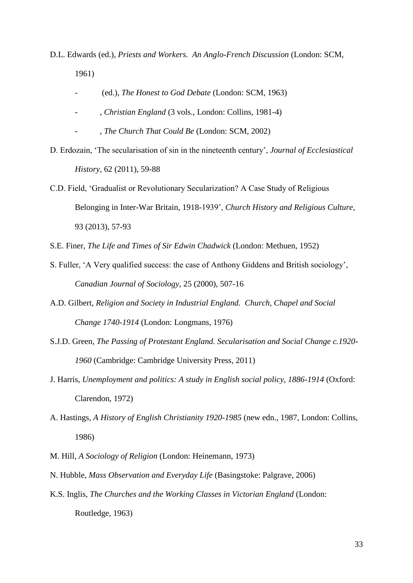- D.L. Edwards (ed.), *Priests and Workers. An Anglo-French Discussion* (London: SCM, 1961)
	- (ed.), *The Honest to God Debate* (London: SCM, 1963)
	- , *Christian England* (3 vols., London: Collins, 1981-4)
	- , *The Church That Could Be* (London: SCM, 2002)
- D. Erdozain, 'The secularisation of sin in the nineteenth century', *Journal of Ecclesiastical History*, 62 (2011), 59-88
- C.D. Field, 'Gradualist or Revolutionary Secularization? A Case Study of Religious Belonging in Inter-War Britain, 1918-1939', *Church History and Religious Culture*, 93 (2013), 57-93
- S.E. Finer, *The Life and Times of Sir Edwin Chadwick* (London: Methuen, 1952)
- S. Fuller, 'A Very qualified success: the case of Anthony Giddens and British sociology', *Canadian Journal of Sociology*, 25 (2000), 507-16
- A.D. Gilbert, *Religion and Society in Industrial England. Church, Chapel and Social Change 1740-1914* (London: Longmans, 1976)
- S.J.D. Green, *The Passing of Protestant England. Secularisation and Social Change c.1920- 1960* (Cambridge: Cambridge University Press, 2011)
- J. Harris, *Unemployment and politics: A study in English social policy, 1886-1914* (Oxford: Clarendon, 1972)
- A. Hastings*, A History of English Christianity 1920-1985* (new edn., 1987, London: Collins, 1986)
- M. Hill, *A Sociology of Religion* (London: Heinemann, 1973)
- N. Hubble, *Mass Observation and Everyday Life* (Basingstoke: Palgrave, 2006)
- K.S. Inglis, *The Churches and the Working Classes in Victorian England* (London: Routledge, 1963)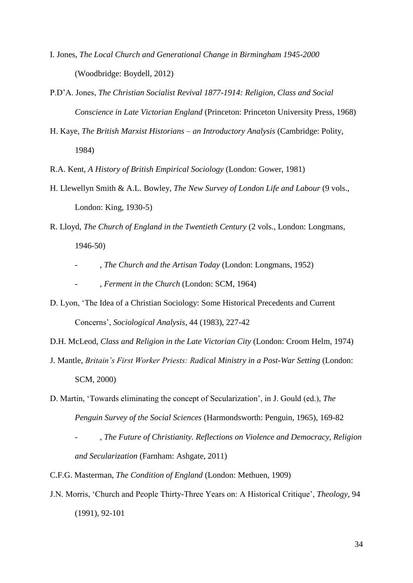- I. Jones, *The Local Church and Generational Change in Birmingham 1945-2000* (Woodbridge: Boydell, 2012)
- P.D'A. Jones, *The Christian Socialist Revival 1877-1914: Religion, Class and Social Conscience in Late Victorian England* (Princeton: Princeton University Press, 1968)
- H. Kaye, *The British Marxist Historians – an Introductory Analysis* (Cambridge: Polity, 1984)

R.A. Kent, *A History of British Empirical Sociology* (London: Gower, 1981)

- H. Llewellyn Smith & A.L. Bowley, *The New Survey of London Life and Labour* (9 vols., London: King, 1930-5)
- R. Lloyd, *The Church of England in the Twentieth Century* (2 vols., London: Longmans, 1946-50)
	- , *The Church and the Artisan Today* (London: Longmans, 1952)
	- , *Ferment in the Church* (London: SCM, 1964)
- D. Lyon, 'The Idea of a Christian Sociology: Some Historical Precedents and Current Concerns', *Sociological Analysis*, 44 (1983), 227-42

D.H. McLeod, *Class and Religion in the Late Victorian City* (London: Croom Helm, 1974)

- J. Mantle, *Britain's First Worker Priests: Radical Ministry in a Post-War Setting* (London: SCM, 2000)
- D. Martin, 'Towards eliminating the concept of Secularization', in J. Gould (ed.), *The Penguin Survey of the Social Sciences* (Harmondsworth: Penguin, 1965), 169-82
	- , *The Future of Christianity. Reflections on Violence and Democracy, Religion and Secularization* (Farnham: Ashgate, 2011)

C.F.G. Masterman, *The Condition of England* (London: Methuen, 1909)

J.N. Morris, 'Church and People Thirty-Three Years on: A Historical Critique', *Theology*, 94 (1991), 92-101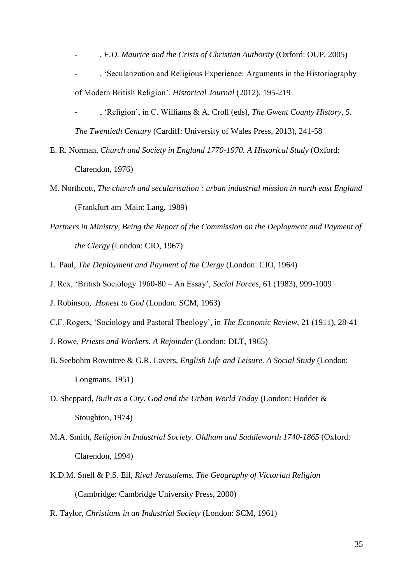- , *F.D. Maurice and the Crisis of Christian Authority* (Oxford: OUP, 2005)
- , 'Secularization and Religious Experience: Arguments in the Historiography of Modern British Religion', *Historical Journal* (2012), 195-219
- , 'Religion', in C. Williams & A. Croll (eds), *The Gwent County History, 5. The Twentieth Century* (Cardiff: University of Wales Press, 2013), 241-58
- E. R. Norman, *Church and Society in England 1770-1970. A Historical Study* (Oxford: Clarendon, 1976)
- M. Northcott, *The church and secularisation : urban industrial mission in north east England* (Frankfurt am Main: Lang, 1989)
- *Partners in Ministry, Being the Report of the Commission on the Deployment and Payment of the Clergy* (London: CIO, 1967)
- L. Paul, *The Deployment and Payment of the Clergy* (London: CIO, 1964)
- J. Rex, 'British Sociology 1960-80 An Essay', *Social Forces*, 61 (1983), 999-1009
- J. Robinson, *Honest to God* (London: SCM, 1963)
- C.F. Rogers, 'Sociology and Pastoral Theology', in *The Economic Review*, 21 (1911), 28-41
- J. Rowe, *Priests and Workers. A Rejoinder* (London: DLT, 1965)
- B. Seebohm Rowntree & G.R. Lavers, *English Life and Leisure. A Social Study* (London: Longmans, 1951)
- D. Sheppard, *Built as a City. God and the Urban World Today* (London: Hodder & Stoughton, 1974)
- M.A. Smith, *Religion in Industrial Society. Oldham and Saddleworth 1740-1865* (Oxford: Clarendon, 1994)
- K.D.M. Snell & P.S. Ell, *Rival Jerusalems. The Geography of Victorian Religion* (Cambridge: Cambridge University Press, 2000)
- R. Taylor, *Christians in an Industrial Society* (London: SCM, 1961)